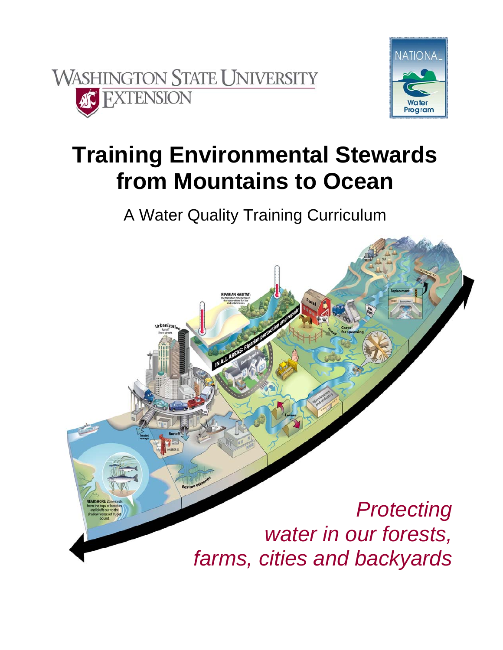



# **Training Environmental Stewards from Mountains to Ocean**

A Water Quality Training Curriculum

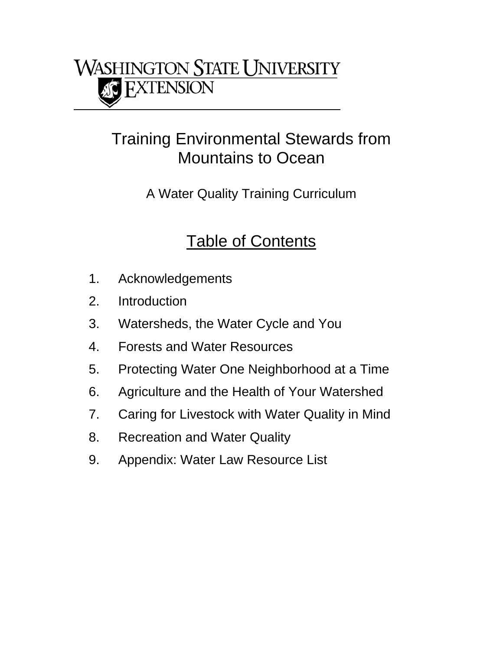

### Training Environmental Stewards from Mountains to Ocean

A Water Quality Training Curriculum

### Table of Contents

- 1. Acknowledgements
- 2. Introduction
- 3. Watersheds, the Water Cycle and You
- 4. Forests and Water Resources
- 5. Protecting Water One Neighborhood at a Time
- 6. Agriculture and the Health of Your Watershed
- 7. Caring for Livestock with Water Quality in Mind
- 8. Recreation and Water Quality
- 9. Appendix: Water Law Resource List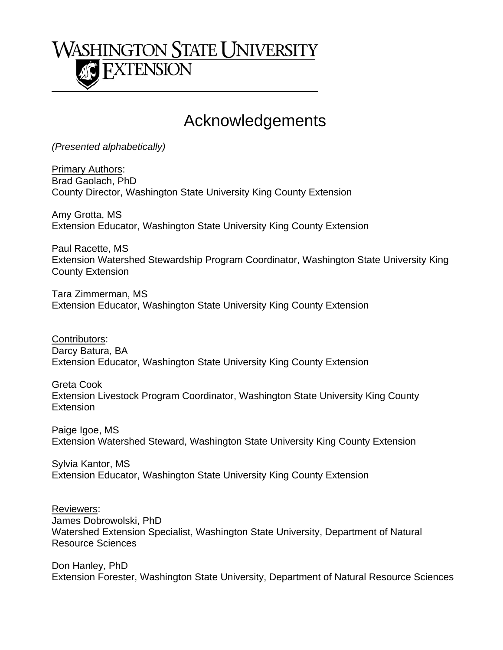## **WASHINGTON STATE UNIVERSITY FXTENSION**

### Acknowledgements

*(Presented alphabetically)*

Primary Authors: Brad Gaolach, PhD County Director, Washington State University King County Extension

Amy Grotta, MS Extension Educator, Washington State University King County Extension

Paul Racette, MS Extension Watershed Stewardship Program Coordinator, Washington State University King County Extension

Tara Zimmerman, MS Extension Educator, Washington State University King County Extension

Contributors: Darcy Batura, BA Extension Educator, Washington State University King County Extension

Greta Cook Extension Livestock Program Coordinator, Washington State University King County **Extension** 

Paige Igoe, MS Extension Watershed Steward, Washington State University King County Extension

Sylvia Kantor, MS Extension Educator, Washington State University King County Extension

Reviewers: James Dobrowolski, PhD Watershed Extension Specialist, Washington State University, Department of Natural Resource Sciences

Don Hanley, PhD Extension Forester, Washington State University, Department of Natural Resource Sciences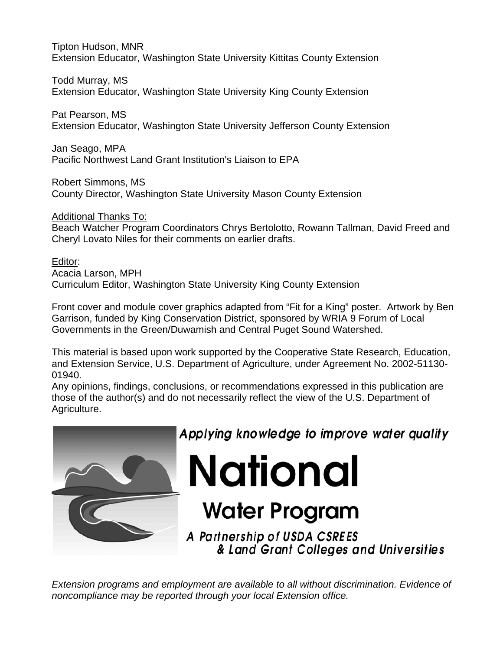Tipton Hudson, MNR Extension Educator, Washington State University Kittitas County Extension

Todd Murray, MS Extension Educator, Washington State University King County Extension

Pat Pearson, MS Extension Educator, Washington State University Jefferson County Extension

Jan Seago, MPA Pacific Northwest Land Grant Institution's Liaison to EPA

Robert Simmons, MS

County Director, Washington State University Mason County Extension

Additional Thanks To:

Beach Watcher Program Coordinators Chrys Bertolotto, Rowann Tallman, David Freed and Cheryl Lovato Niles for their comments on earlier drafts.

Editor: Acacia Larson, MPH Curriculum Editor, Washington State University King County Extension

Front cover and module cover graphics adapted from "Fit for a King" poster. Artwork by Ben Garrison, funded by King Conservation District, sponsored by WRIA 9 Forum of Local Governments in the Green/Duwamish and Central Puget Sound Watershed.

This material is based upon work supported by the Cooperative State Research, Education, and Extension Service, U.S. Department of Agriculture, under Agreement No. 2002-51130- 01940.

Any opinions, findings, conclusions, or recommendations expressed in this publication are those of the author(s) and do not necessarily reflect the view of the U.S. Department of Agriculture.



Applying knowledge to improve water quality

**National** 

# **Water Program**

A Partnership of USDA CSREES & Land Grant Colleges and Universities

*Extension programs and employment are available to all without discrimination. Evidence of noncompliance may be reported through your local Extension office.*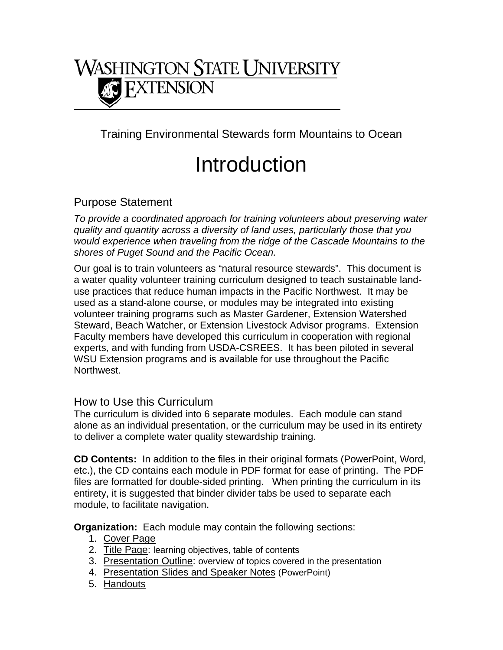

Training Environmental Stewards form Mountains to Ocean

# Introduction

### Purpose Statement

*To provide a coordinated approach for training volunteers about preserving water quality and quantity across a diversity of land uses, particularly those that you would experience when traveling from the ridge of the Cascade Mountains to the shores of Puget Sound and the Pacific Ocean.* 

Our goal is to train volunteers as "natural resource stewards". This document is a water quality volunteer training curriculum designed to teach sustainable landuse practices that reduce human impacts in the Pacific Northwest. It may be used as a stand-alone course, or modules may be integrated into existing volunteer training programs such as Master Gardener, Extension Watershed Steward, Beach Watcher, or Extension Livestock Advisor programs. Extension Faculty members have developed this curriculum in cooperation with regional experts, and with funding from USDA-CSREES. It has been piloted in several WSU Extension programs and is available for use throughout the Pacific Northwest.

#### How to Use this Curriculum

The curriculum is divided into 6 separate modules. Each module can stand alone as an individual presentation, or the curriculum may be used in its entirety to deliver a complete water quality stewardship training.

**CD Contents:** In addition to the files in their original formats (PowerPoint, Word, etc.), the CD contains each module in PDF format for ease of printing. The PDF files are formatted for double-sided printing. When printing the curriculum in its entirety, it is suggested that binder divider tabs be used to separate each module, to facilitate navigation.

**Organization:** Each module may contain the following sections:

- 1. Cover Page
- 2. Title Page: learning objectives, table of contents
- 3. Presentation Outline: overview of topics covered in the presentation
- 4. Presentation Slides and Speaker Notes (PowerPoint)
- 5. Handouts